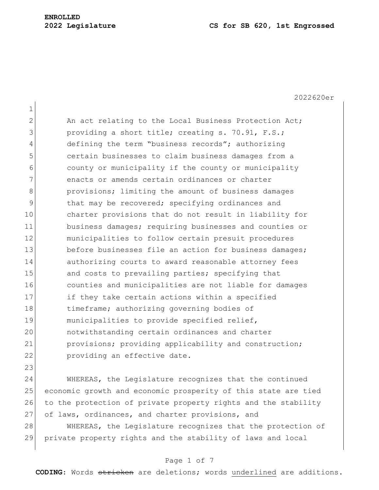1

2022620er 2 An act relating to the Local Business Protection Act; 3 **providing a short title; creating s. 70.91, F.S.;** 4 defining the term "business records"; authorizing 5 certain businesses to claim business damages from a 6 county or municipality if the county or municipality 7 enacts or amends certain ordinances or charter 8 **b** provisions; limiting the amount of business damages 9 black may be recovered; specifying ordinances and 10 charter provisions that do not result in liability for 11 business damages; requiring businesses and counties or 12 municipalities to follow certain presuit procedures 13 before businesses file an action for business damages; 14 authorizing courts to award reasonable attorney fees 15 and costs to prevailing parties; specifying that 16 counties and municipalities are not liable for damages 17 **if they take certain actions within a specified** 18 18 timeframe; authorizing governing bodies of 19 municipalities to provide specified relief, 20 notwithstanding certain ordinances and charter 21 provisions; providing applicability and construction; 22 providing an effective date.

23 24 WHEREAS, the Legislature recognizes that the continued 25 economic growth and economic prosperity of this state are tied 26 to the protection of private property rights and the stability 27 of laws, ordinances, and charter provisions, and

28 WHEREAS, the Legislature recognizes that the protection of 29 private property rights and the stability of laws and local

## Page 1 of 7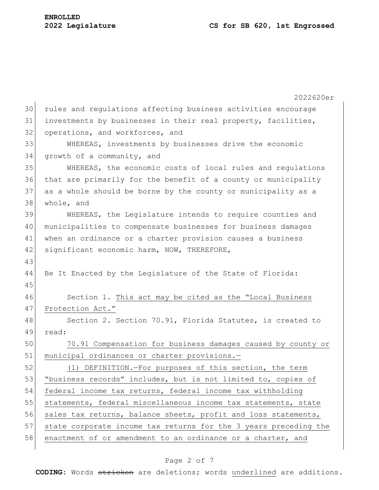2022620er 30 rules and regulations affecting business activities encourage 31 investments by businesses in their real property, facilities, 32 operations, and workforces, and 33 WHEREAS, investments by businesses drive the economic 34 growth of a community, and 35 WHEREAS, the economic costs of local rules and regulations 36 that are primarily for the benefit of a county or municipality 37 as a whole should be borne by the county or municipality as a 38 whole, and 39 WHEREAS, the Legislature intends to require counties and 40 municipalities to compensate businesses for business damages 41 when an ordinance or a charter provision causes a business 42 significant economic harm, NOW, THEREFORE, 43 44 Be It Enacted by the Legislature of the State of Florida: 45 46 Section 1. This act may be cited as the "Local Business 47 Protection Act." 48 Section 2. Section 70.91, Florida Statutes, is created to 49 read: 50 70.91 Compensation for business damages caused by county or 51 municipal ordinances or charter provisions.-52 (1) DEFINITION.—For purposes of this section, the term 53 "business records" includes, but is not limited to, copies of 54 federal income tax returns, federal income tax withholding 55 statements, federal miscellaneous income tax statements, state 56 sales tax returns, balance sheets, profit and loss statements, 57 state corporate income tax returns for the 3 years preceding the 58 enactment of or amendment to an ordinance or a charter, and

### Page 2 of 7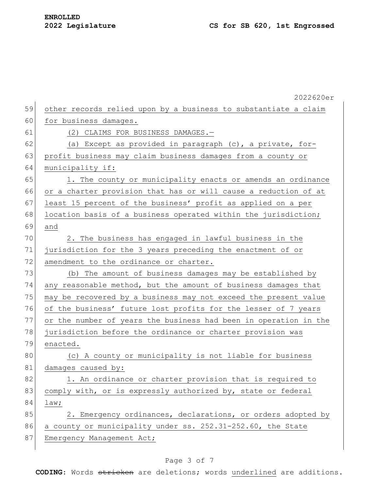|    | 2022620er                                                        |
|----|------------------------------------------------------------------|
| 59 | other records relied upon by a business to substantiate a claim  |
| 60 | for business damages.                                            |
| 61 | (2) CLAIMS FOR BUSINESS DAMAGES.-                                |
| 62 | (a) Except as provided in paragraph (c), a private, for-         |
| 63 | profit business may claim business damages from a county or      |
| 64 | municipality if:                                                 |
| 65 | 1. The county or municipality enacts or amends an ordinance      |
| 66 | or a charter provision that has or will cause a reduction of at  |
| 67 | least 15 percent of the business' profit as applied on a per     |
| 68 | location basis of a business operated within the jurisdiction;   |
| 69 | and                                                              |
| 70 | 2. The business has engaged in lawful business in the            |
| 71 | jurisdiction for the 3 years preceding the enactment of or       |
| 72 | amendment to the ordinance or charter.                           |
| 73 | (b) The amount of business damages may be established by         |
| 74 | any reasonable method, but the amount of business damages that   |
| 75 | may be recovered by a business may not exceed the present value  |
| 76 | of the business' future lost profits for the lesser of 7 years   |
| 77 | or the number of years the business had been in operation in the |
| 78 | jurisdiction before the ordinance or charter provision was       |
| 79 | enacted.                                                         |
| 80 | (c) A county or municipality is not liable for business          |
| 81 | damages caused by:                                               |
| 82 | 1. An ordinance or charter provision that is required to         |
| 83 | comply with, or is expressly authorized by, state or federal     |
| 84 | law;                                                             |
| 85 | 2. Emergency ordinances, declarations, or orders adopted by      |
| 86 | a county or municipality under ss. 252.31-252.60, the State      |
| 87 | Emergency Management Act;                                        |

# Page 3 of 7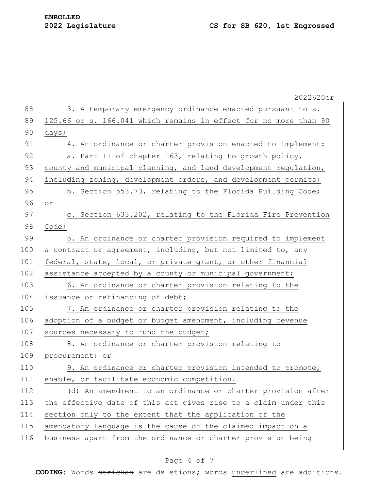|     | 2022620er                                                        |
|-----|------------------------------------------------------------------|
| 88  | 3. A temporary emergency ordinance enacted pursuant to s.        |
| 89  | 125.66 or s. 166.041 which remains in effect for no more than 90 |
| 90  | days;                                                            |
| 91  | 4. An ordinance or charter provision enacted to implement:       |
| 92  | a. Part II of chapter 163, relating to growth policy,            |
| 93  | county and municipal planning, and land development regulation,  |
| 94  | including zoning, development orders, and development permits;   |
| 95  | b. Section 553.73, relating to the Florida Building Code;        |
| 96  | $\circ$ $\,$                                                     |
| 97  | c. Section 633.202, relating to the Florida Fire Prevention      |
| 98  | Code;                                                            |
| 99  | 5. An ordinance or charter provision required to implement       |
| 100 | a contract or agreement, including, but not limited to, any      |
| 101 | federal, state, local, or private grant, or other financial      |
| 102 | assistance accepted by a county or municipal government;         |
| 103 | 6. An ordinance or charter provision relating to the             |
| 104 | issuance or refinancing of debt;                                 |
| 105 | 7. An ordinance or charter provision relating to the             |
| 106 | adoption of a budget or budget amendment, including revenue      |
| 107 | sources necessary to fund the budget;                            |
| 108 | 8. An ordinance or charter provision relating to                 |
| 109 | procurement; or                                                  |
| 110 | 9. An ordinance or charter provision intended to promote,        |
| 111 | enable, or facilitate economic competition.                      |
| 112 | (d) An amendment to an ordinance or charter provision after      |
| 113 | the effective date of this act gives rise to a claim under this  |
| 114 | section only to the extent that the application of the           |
| 115 | amendatory language is the cause of the claimed impact on a      |
| 116 | business apart from the ordinance or charter provision being     |
|     |                                                                  |

# Page 4 of 7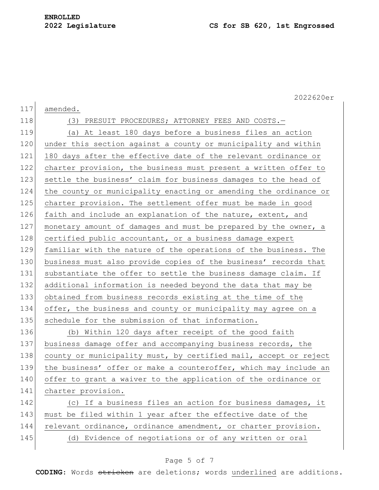2022620er

| nended<br>aτ |
|--------------|
|              |

118 (3) PRESUIT PROCEDURES; ATTORNEY FEES AND COSTS. 119 (a) At least 180 days before a business files an action 120 under this section against a county or municipality and within 121 180 days after the effective date of the relevant ordinance or 122 charter provision, the business must present a written offer to 123 settle the business' claim for business damages to the head of 124 the county or municipality enacting or amending the ordinance or 125 charter provision. The settlement offer must be made in good 126 faith and include an explanation of the nature, extent, and 127 monetary amount of damages and must be prepared by the owner, a 128 certified public accountant, or a business damage expert 129 familiar with the nature of the operations of the business. The 130 business must also provide copies of the business' records that 131 substantiate the offer to settle the business damage claim. If 132 additional information is needed beyond the data that may be 133 obtained from business records existing at the time of the 134 offer, the business and county or municipality may agree on a 135 schedule for the submission of that information. 136 (b) Within 120 days after receipt of the good faith

137 business damage offer and accompanying business records, the 138 county or municipality must, by certified mail, accept or reject 139 the business' offer or make a counteroffer, which may include an 140 offer to grant a waiver to the application of the ordinance or 141 charter provision.

142 (c) If a business files an action for business damages, it 143 must be filed within 1 year after the effective date of the 144 relevant ordinance, ordinance amendment, or charter provision. 145 (d) Evidence of negotiations or of any written or oral

## Page 5 of 7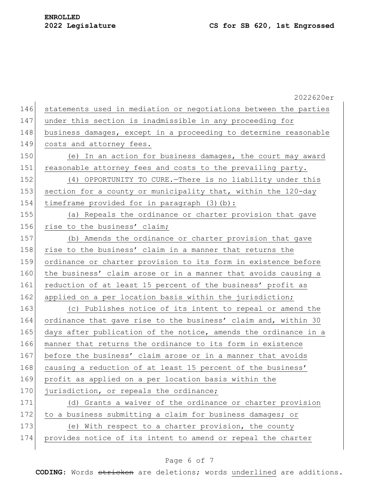2022620er 146 statements used in mediation or negotiations between the parties 147 under this section is inadmissible in any proceeding for 148 business damages, except in a proceeding to determine reasonable 149 costs and attorney fees. 150 (e) In an action for business damages, the court may award 151 reasonable attorney fees and costs to the prevailing party. 152 (4) OPPORTUNITY TO CURE.—There is no liability under this 153 section for a county or municipality that, within the 120-day 154 timeframe provided for in paragraph (3)(b): 155 (a) Repeals the ordinance or charter provision that gave 156 rise to the business' claim; 157 (b) Amends the ordinance or charter provision that gave 158 rise to the business' claim in a manner that returns the 159 ordinance or charter provision to its form in existence before 160 the business' claim arose or in a manner that avoids causing a 161 reduction of at least 15 percent of the business' profit as 162 applied on a per location basis within the jurisdiction; 163 (c) Publishes notice of its intent to repeal or amend the 164 ordinance that gave rise to the business' claim and, within 30 165 days after publication of the notice, amends the ordinance in a 166 manner that returns the ordinance to its form in existence 167 before the business' claim arose or in a manner that avoids 168 causing a reduction of at least 15 percent of the business' 169 profit as applied on a per location basis within the 170 jurisdiction, or repeals the ordinance; 171 (d) Grants a waiver of the ordinance or charter provision 172 to a business submitting a claim for business damages; or 173 (e) With respect to a charter provision, the county 174 provides notice of its intent to amend or repeal the charter

### Page 6 of 7